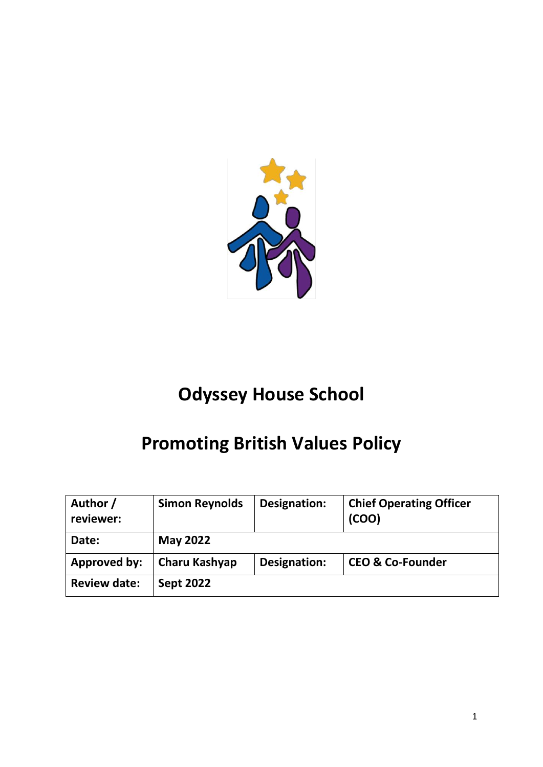

# **Odyssey House School**

# **Promoting British Values Policy**

| Author /<br>reviewer: | <b>Simon Reynolds</b> | Designation: | <b>Chief Operating Officer</b><br>(COO) |
|-----------------------|-----------------------|--------------|-----------------------------------------|
| Date:                 | <b>May 2022</b>       |              |                                         |
| <b>Approved by:</b>   | Charu Kashyap         | Designation: | <b>CEO &amp; Co-Founder</b>             |
| <b>Review date:</b>   | <b>Sept 2022</b>      |              |                                         |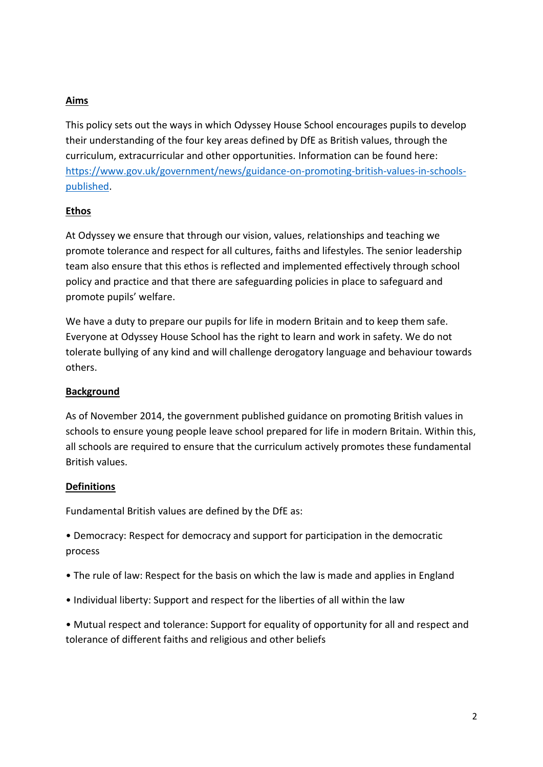# **Aims**

This policy sets out the ways in which Odyssey House School encourages pupils to develop their understanding of the four key areas defined by DfE as British values, through the curriculum, extracurricular and other opportunities. Information can be found here: [https://www.gov.uk/government/news/guidance-on-promoting-british-values-in-schools](https://www.gov.uk/government/news/guidance-on-promoting-british-values-in-schools-published)[published.](https://www.gov.uk/government/news/guidance-on-promoting-british-values-in-schools-published)

## **Ethos**

At Odyssey we ensure that through our vision, values, relationships and teaching we promote tolerance and respect for all cultures, faiths and lifestyles. The senior leadership team also ensure that this ethos is reflected and implemented effectively through school policy and practice and that there are safeguarding policies in place to safeguard and promote pupils' welfare.

We have a duty to prepare our pupils for life in modern Britain and to keep them safe. Everyone at Odyssey House School has the right to learn and work in safety. We do not tolerate bullying of any kind and will challenge derogatory language and behaviour towards others.

#### **Background**

As of November 2014, the government published guidance on promoting British values in schools to ensure young people leave school prepared for life in modern Britain. Within this, all schools are required to ensure that the curriculum actively promotes these fundamental British values.

#### **Definitions**

Fundamental British values are defined by the DfE as:

• Democracy: Respect for democracy and support for participation in the democratic process

- The rule of law: Respect for the basis on which the law is made and applies in England
- Individual liberty: Support and respect for the liberties of all within the law

• Mutual respect and tolerance: Support for equality of opportunity for all and respect and tolerance of different faiths and religious and other beliefs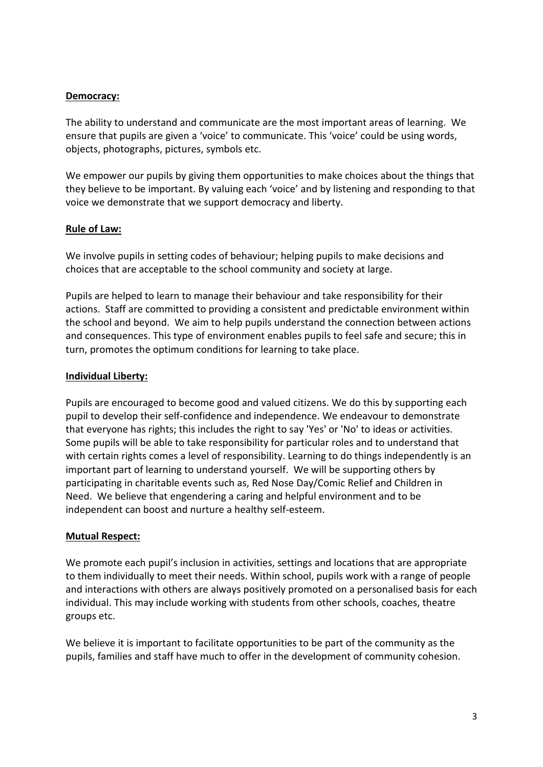#### **Democracy:**

The ability to understand and communicate are the most important areas of learning. We ensure that pupils are given a 'voice' to communicate. This 'voice' could be using words, objects, photographs, pictures, symbols etc.

We empower our pupils by giving them opportunities to make choices about the things that they believe to be important. By valuing each 'voice' and by listening and responding to that voice we demonstrate that we support democracy and liberty.

#### **Rule of Law:**

We involve pupils in setting codes of behaviour; helping pupils to make decisions and choices that are acceptable to the school community and society at large.

Pupils are helped to learn to manage their behaviour and take responsibility for their actions. Staff are committed to providing a consistent and predictable environment within the school and beyond. We aim to help pupils understand the connection between actions and consequences. This type of environment enables pupils to feel safe and secure; this in turn, promotes the optimum conditions for learning to take place.

#### **Individual Liberty:**

Pupils are encouraged to become good and valued citizens. We do this by supporting each pupil to develop their self-confidence and independence. We endeavour to demonstrate that everyone has rights; this includes the right to say 'Yes' or 'No' to ideas or activities. Some pupils will be able to take responsibility for particular roles and to understand that with certain rights comes a level of responsibility. Learning to do things independently is an important part of learning to understand yourself. We will be supporting others by participating in charitable events such as, Red Nose Day/Comic Relief and Children in Need. We believe that engendering a caring and helpful environment and to be independent can boost and nurture a healthy self-esteem.

#### **Mutual Respect:**

We promote each pupil's inclusion in activities, settings and locations that are appropriate to them individually to meet their needs. Within school, pupils work with a range of people and interactions with others are always positively promoted on a personalised basis for each individual. This may include working with students from other schools, coaches, theatre groups etc.

We believe it is important to facilitate opportunities to be part of the community as the pupils, families and staff have much to offer in the development of community cohesion.